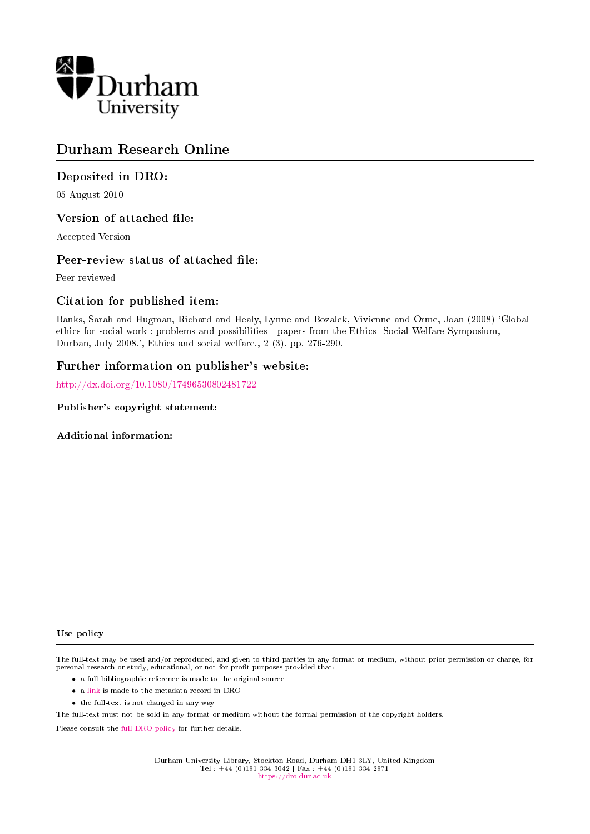

# Durham Research Online

#### Deposited in DRO:

05 August 2010

#### Version of attached file:

Accepted Version

#### Peer-review status of attached file:

Peer-reviewed

#### Citation for published item:

Banks, Sarah and Hugman, Richard and Healy, Lynne and Bozalek, Vivienne and Orme, Joan (2008) 'Global ethics for social work : problems and possibilities - papers from the Ethics Social Welfare Symposium, Durban, July 2008.', Ethics and social welfare., 2 (3). pp. 276-290.

#### Further information on publisher's website:

[http://dx.doi.org/10.1080/17496530802481722](http://dx.doi.org/10.1080/17496530802481722 )

Publisher's copyright statement:

Additional information:

#### Use policy

The full-text may be used and/or reproduced, and given to third parties in any format or medium, without prior permission or charge, for personal research or study, educational, or not-for-profit purposes provided that:

- a full bibliographic reference is made to the original source
- a [link](http://dro.dur.ac.uk/6530/) is made to the metadata record in DRO
- the full-text is not changed in any way

The full-text must not be sold in any format or medium without the formal permission of the copyright holders.

Please consult the [full DRO policy](https://dro.dur.ac.uk/policies/usepolicy.pdf) for further details.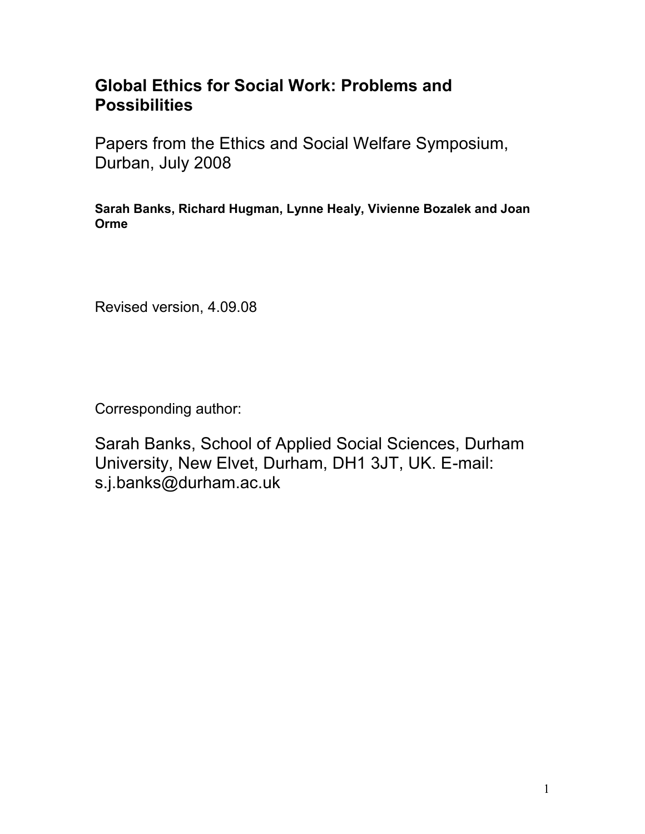# **Global Ethics for Social Work: Problems and Possibilities**

Papers from the Ethics and Social Welfare Symposium, Durban, July 2008

**Sarah Banks, Richard Hugman, Lynne Healy, Vivienne Bozalek and Joan Orme**

Revised version, 4.09.08

Corresponding author:

Sarah Banks, School of Applied Social Sciences, Durham University, New Elvet, Durham, DH1 3JT, UK. E-mail: s.j.banks@durham.ac.uk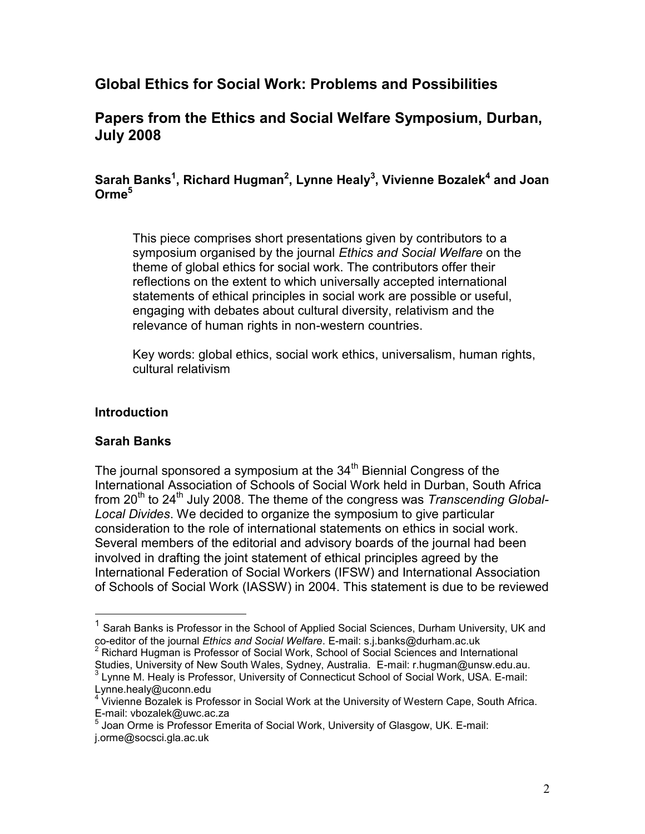# **Global Ethics for Social Work: Problems and Possibilities**

# **Papers from the Ethics and Social Welfare Symposium, Durban, July 2008**

# **Sarah Banks<sup>1</sup> , Richard Hugman<sup>2</sup> , Lynne Healy<sup>3</sup> , Vivienne Bozalek<sup>4</sup> and Joan Orme<sup>5</sup>**

This piece comprises short presentations given by contributors to a symposium organised by the journal *Ethics and Social Welfare* on the theme of global ethics for social work. The contributors offer their reflections on the extent to which universally accepted international statements of ethical principles in social work are possible or useful, engaging with debates about cultural diversity, relativism and the relevance of human rights in non-western countries.

Key words: global ethics, social work ethics, universalism, human rights, cultural relativism

### **Introduction**

# **Sarah Banks**

 $\overline{a}$ 

The journal sponsored a symposium at the  $34<sup>th</sup>$  Biennial Congress of the International Association of Schools of Social Work held in Durban, South Africa from 20<sup>th</sup> to 24<sup>th</sup> July 2008. The theme of the congress was *Transcending Global-Local Divides*. We decided to organize the symposium to give particular consideration to the role of international statements on ethics in social work. Several members of the editorial and advisory boards of the journal had been involved in drafting the joint statement of ethical principles agreed by the International Federation of Social Workers (IFSW) and International Association of Schools of Social Work (IASSW) in 2004. This statement is due to be reviewed

 $1$  Sarah Banks is Professor in the School of Applied Social Sciences, Durham University, UK and co-editor of the journal *Ethics and Social Welfare*. E-mail: s.j.banks@durham.ac.uk  $2$  Richard Hugman is Professor of Social Work, School of Social Sciences and International

Studies, University of New South Wales, Sydney, Australia. E-mail: [r.hugman@unsw.edu.au.](mailto:r.hugman@unsw.edu.au)<br>3 Limne M. Heelv is Prefeceer, University of Connecticut Sebecl of Seciel Work, USA, E. mail: Lynne M. Healy is Professor, University of Connecticut School of Social Work, USA. E-mail:

[Lynne.healy@uconn.edu](mailto:Lynne.healy@uconn.edu)<br><sup>4</sup> Vivionne Bezelek is Pre

Vivienne Bozalek is Professor in Social Work at the University of Western Cape, South Africa. E-mail: vbozalek@uwc.ac.za

<sup>5</sup> Joan Orme is Professor Emerita of Social Work, University of Glasgow, UK. E-mail: j.orme@socsci.gla.ac.uk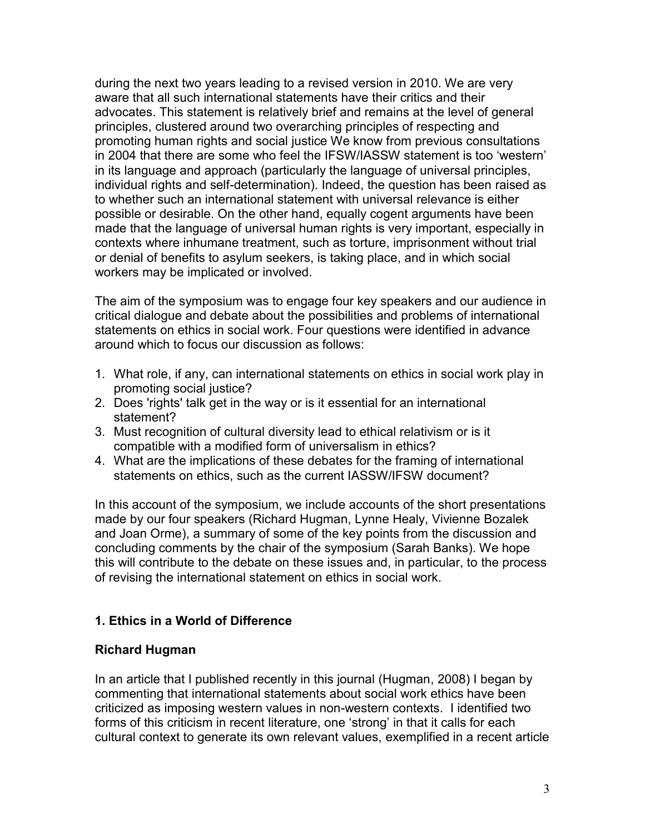during the next two years leading to a revised version in 2010. We are very aware that all such international statements have their critics and their advocates. This statement is relatively brief and remains at the level of general principles, clustered around two overarching principles of respecting and promoting human rights and social justice We know from previous consultations in 2004 that there are some who feel the IFSW/IASSW statement is too 'western' in its language and approach (particularly the language of universal principles, individual rights and self-determination). Indeed, the question has been raised as to whether such an international statement with universal relevance is either possible or desirable. On the other hand, equally cogent arguments have been made that the language of universal human rights is very important, especially in contexts where inhumane treatment, such as torture, imprisonment without trial or denial of benefits to asylum seekers, is taking place, and in which social workers may be implicated or involved.

The aim of the symposium was to engage four key speakers and our audience in critical dialogue and debate about the possibilities and problems of international statements on ethics in social work. Four questions were identified in advance around which to focus our discussion as follows:

- 1. What role, if any, can international statements on ethics in social work play in promoting social justice?
- 2. Does 'rights' talk get in the way or is it essential for an international statement?
- 3. Must recognition of cultural diversity lead to ethical relativism or is it compatible with a modified form of universalism in ethics?
- 4. What are the implications of these debates for the framing of international statements on ethics, such as the current IASSW/IFSW document?

In this account of the symposium, we include accounts of the short presentations made by our four speakers (Richard Hugman, Lynne Healy, Vivienne Bozalek and Joan Orme), a summary of some of the key points from the discussion and concluding comments by the chair of the symposium (Sarah Banks). We hope this will contribute to the debate on these issues and, in particular, to the process of revising the international statement on ethics in social work.

# **1. Ethics in a World of Difference**

### **Richard Hugman**

In an article that I published recently in this journal (Hugman, 2008) I began by commenting that international statements about social work ethics have been criticized as imposing western values in non-western contexts. I identified two forms of this criticism in recent literature, one 'strong' in that it calls for each cultural context to generate its own relevant values, exemplified in a recent article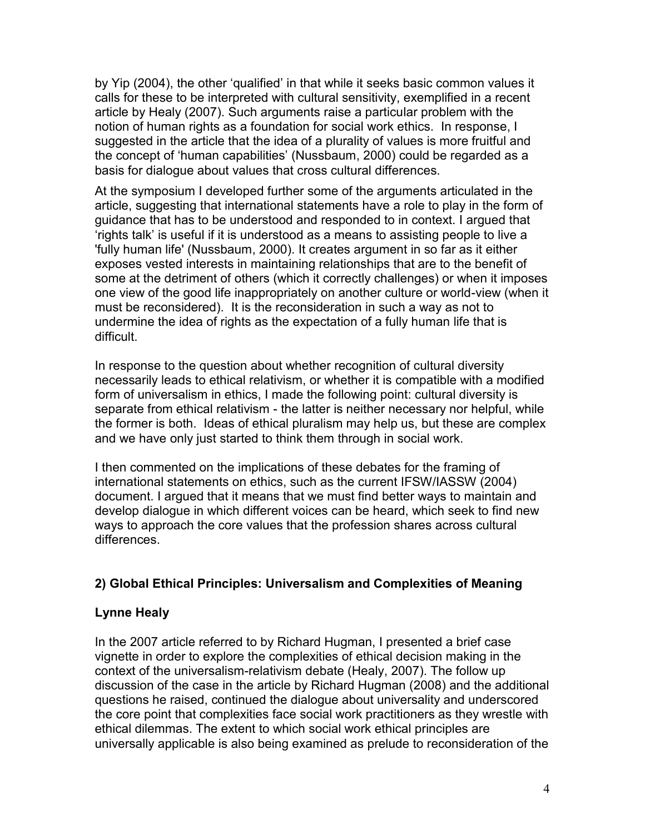by Yip (2004), the other 'qualified' in that while it seeks basic common values it calls for these to be interpreted with cultural sensitivity, exemplified in a recent article by Healy (2007). Such arguments raise a particular problem with the notion of human rights as a foundation for social work ethics. In response, I suggested in the article that the idea of a plurality of values is more fruitful and the concept of 'human capabilities' (Nussbaum, 2000) could be regarded as a basis for dialogue about values that cross cultural differences.

At the symposium I developed further some of the arguments articulated in the article, suggesting that international statements have a role to play in the form of guidance that has to be understood and responded to in context. I argued that 'rights talk' is useful if it is understood as a means to assisting people to live a 'fully human life' (Nussbaum, 2000). It creates argument in so far as it either exposes vested interests in maintaining relationships that are to the benefit of some at the detriment of others (which it correctly challenges) or when it imposes one view of the good life inappropriately on another culture or world-view (when it must be reconsidered). It is the reconsideration in such a way as not to undermine the idea of rights as the expectation of a fully human life that is difficult.

In response to the question about whether recognition of cultural diversity necessarily leads to ethical relativism, or whether it is compatible with a modified form of universalism in ethics, I made the following point: cultural diversity is separate from ethical relativism - the latter is neither necessary nor helpful, while the former is both. Ideas of ethical pluralism may help us, but these are complex and we have only just started to think them through in social work.

I then commented on the implications of these debates for the framing of international statements on ethics, such as the current IFSW/IASSW (2004) document. I argued that it means that we must find better ways to maintain and develop dialogue in which different voices can be heard, which seek to find new ways to approach the core values that the profession shares across cultural differences.

# **2) Global Ethical Principles: Universalism and Complexities of Meaning**

# **Lynne Healy**

In the 2007 article referred to by Richard Hugman, I presented a brief case vignette in order to explore the complexities of ethical decision making in the context of the universalism-relativism debate (Healy, 2007). The follow up discussion of the case in the article by Richard Hugman (2008) and the additional questions he raised, continued the dialogue about universality and underscored the core point that complexities face social work practitioners as they wrestle with ethical dilemmas. The extent to which social work ethical principles are universally applicable is also being examined as prelude to reconsideration of the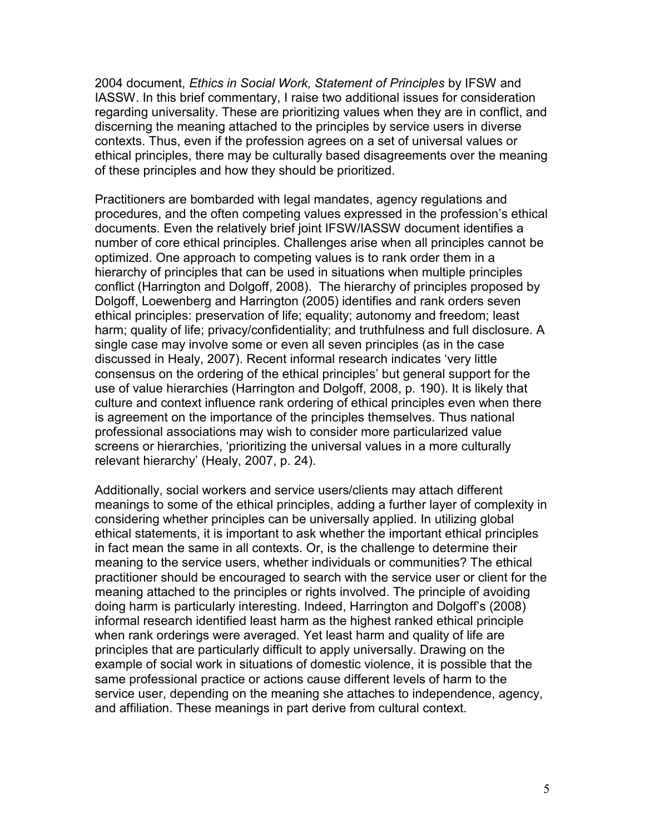2004 document, *Ethics in Social Work, Statement of Principles* by IFSW and IASSW. In this brief commentary, I raise two additional issues for consideration regarding universality. These are prioritizing values when they are in conflict, and discerning the meaning attached to the principles by service users in diverse contexts. Thus, even if the profession agrees on a set of universal values or ethical principles, there may be culturally based disagreements over the meaning of these principles and how they should be prioritized.

Practitioners are bombarded with legal mandates, agency regulations and procedures, and the often competing values expressed in the profession's ethical documents. Even the relatively brief joint IFSW/IASSW document identifies a number of core ethical principles. Challenges arise when all principles cannot be optimized. One approach to competing values is to rank order them in a hierarchy of principles that can be used in situations when multiple principles conflict (Harrington and Dolgoff, 2008). The hierarchy of principles proposed by Dolgoff, Loewenberg and Harrington (2005) identifies and rank orders seven ethical principles: preservation of life; equality; autonomy and freedom; least harm; quality of life; privacy/confidentiality; and truthfulness and full disclosure. A single case may involve some or even all seven principles (as in the case discussed in Healy, 2007). Recent informal research indicates 'very little consensus on the ordering of the ethical principles' but general support for the use of value hierarchies (Harrington and Dolgoff, 2008, p. 190). It is likely that culture and context influence rank ordering of ethical principles even when there is agreement on the importance of the principles themselves. Thus national professional associations may wish to consider more particularized value screens or hierarchies, 'prioritizing the universal values in a more culturally relevant hierarchy' (Healy, 2007, p. 24).

Additionally, social workers and service users/clients may attach different meanings to some of the ethical principles, adding a further layer of complexity in considering whether principles can be universally applied. In utilizing global ethical statements, it is important to ask whether the important ethical principles in fact mean the same in all contexts. Or, is the challenge to determine their meaning to the service users, whether individuals or communities? The ethical practitioner should be encouraged to search with the service user or client for the meaning attached to the principles or rights involved. The principle of avoiding doing harm is particularly interesting. Indeed, Harrington and Dolgoff's (2008) informal research identified least harm as the highest ranked ethical principle when rank orderings were averaged. Yet least harm and quality of life are principles that are particularly difficult to apply universally. Drawing on the example of social work in situations of domestic violence, it is possible that the same professional practice or actions cause different levels of harm to the service user, depending on the meaning she attaches to independence, agency, and affiliation. These meanings in part derive from cultural context.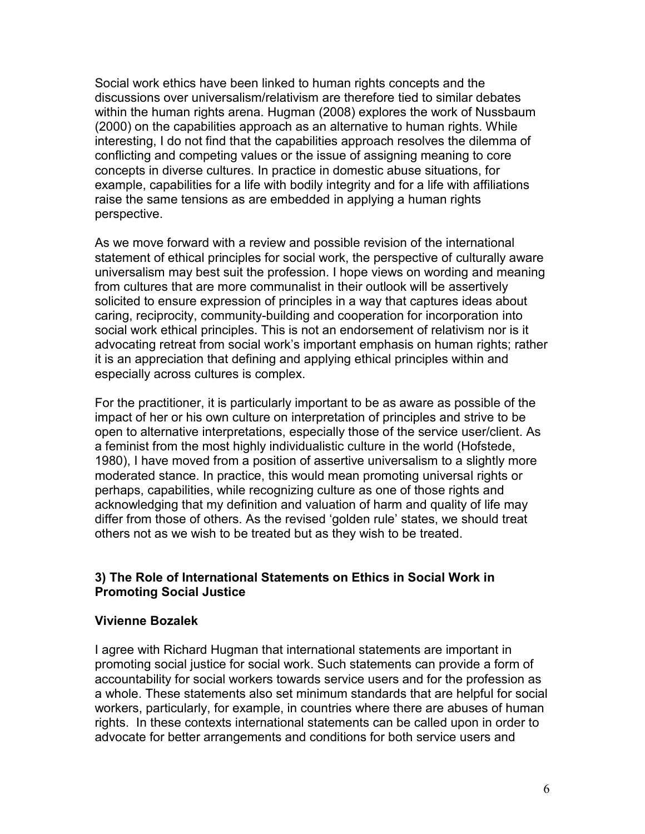Social work ethics have been linked to human rights concepts and the discussions over universalism/relativism are therefore tied to similar debates within the human rights arena. Hugman (2008) explores the work of Nussbaum (2000) on the capabilities approach as an alternative to human rights. While interesting, I do not find that the capabilities approach resolves the dilemma of conflicting and competing values or the issue of assigning meaning to core concepts in diverse cultures. In practice in domestic abuse situations, for example, capabilities for a life with bodily integrity and for a life with affiliations raise the same tensions as are embedded in applying a human rights perspective.

As we move forward with a review and possible revision of the international statement of ethical principles for social work, the perspective of culturally aware universalism may best suit the profession. I hope views on wording and meaning from cultures that are more communalist in their outlook will be assertively solicited to ensure expression of principles in a way that captures ideas about caring, reciprocity, community-building and cooperation for incorporation into social work ethical principles. This is not an endorsement of relativism nor is it advocating retreat from social work's important emphasis on human rights; rather it is an appreciation that defining and applying ethical principles within and especially across cultures is complex.

For the practitioner, it is particularly important to be as aware as possible of the impact of her or his own culture on interpretation of principles and strive to be open to alternative interpretations, especially those of the service user/client. As a feminist from the most highly individualistic culture in the world (Hofstede, 1980), I have moved from a position of assertive universalism to a slightly more moderated stance. In practice, this would mean promoting universal rights or perhaps, capabilities, while recognizing culture as one of those rights and acknowledging that my definition and valuation of harm and quality of life may differ from those of others. As the revised 'golden rule' states, we should treat others not as we wish to be treated but as they wish to be treated.

### **3) The Role of International Statements on Ethics in Social Work in Promoting Social Justice**

### **Vivienne Bozalek**

I agree with Richard Hugman that international statements are important in promoting social justice for social work. Such statements can provide a form of accountability for social workers towards service users and for the profession as a whole. These statements also set minimum standards that are helpful for social workers, particularly, for example, in countries where there are abuses of human rights. In these contexts international statements can be called upon in order to advocate for better arrangements and conditions for both service users and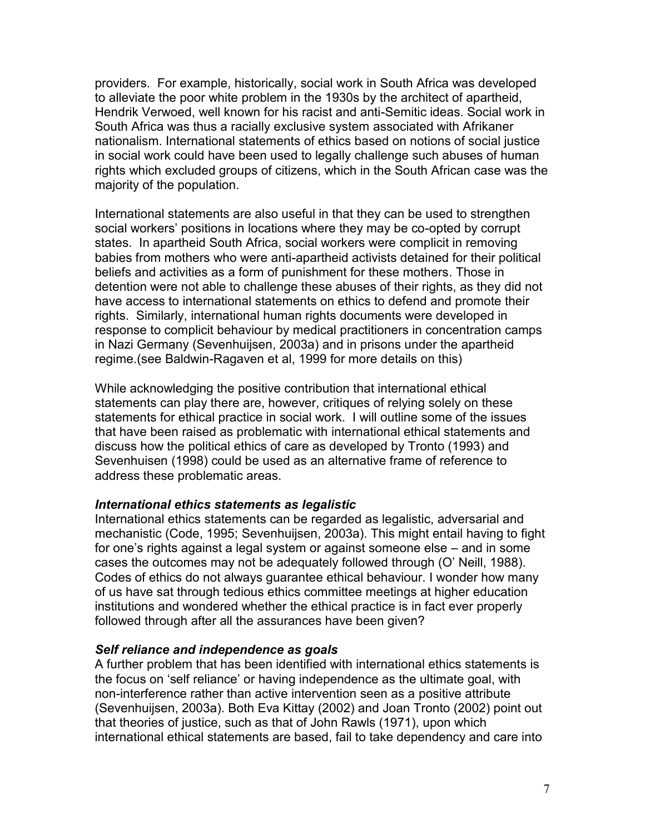providers. For example, historically, social work in South Africa was developed to alleviate the poor white problem in the 1930s by the architect of apartheid, Hendrik Verwoed, well known for his racist and anti-Semitic ideas. Social work in South Africa was thus a racially exclusive system associated with Afrikaner nationalism. International statements of ethics based on notions of social justice in social work could have been used to legally challenge such abuses of human rights which excluded groups of citizens, which in the South African case was the majority of the population.

International statements are also useful in that they can be used to strengthen social workers' positions in locations where they may be co-opted by corrupt states. In apartheid South Africa, social workers were complicit in removing babies from mothers who were anti-apartheid activists detained for their political beliefs and activities as a form of punishment for these mothers. Those in detention were not able to challenge these abuses of their rights, as they did not have access to international statements on ethics to defend and promote their rights. Similarly, international human rights documents were developed in response to complicit behaviour by medical practitioners in concentration camps in Nazi Germany (Sevenhuijsen, 2003a) and in prisons under the apartheid regime.(see Baldwin-Ragaven et al, 1999 for more details on this)

While acknowledging the positive contribution that international ethical statements can play there are, however, critiques of relying solely on these statements for ethical practice in social work. I will outline some of the issues that have been raised as problematic with international ethical statements and discuss how the political ethics of care as developed by Tronto (1993) and Sevenhuisen (1998) could be used as an alternative frame of reference to address these problematic areas.

#### *International ethics statements as legalistic*

International ethics statements can be regarded as legalistic, adversarial and mechanistic (Code, 1995; Sevenhuijsen, 2003a). This might entail having to fight for one's rights against a legal system or against someone else – and in some cases the outcomes may not be adequately followed through (O' Neill, 1988). Codes of ethics do not always guarantee ethical behaviour. I wonder how many of us have sat through tedious ethics committee meetings at higher education institutions and wondered whether the ethical practice is in fact ever properly followed through after all the assurances have been given?

### *Self reliance and independence as goals*

A further problem that has been identified with international ethics statements is the focus on 'self reliance' or having independence as the ultimate goal, with non-interference rather than active intervention seen as a positive attribute (Sevenhuijsen, 2003a). Both Eva Kittay (2002) and Joan Tronto (2002) point out that theories of justice, such as that of John Rawls (1971), upon which international ethical statements are based, fail to take dependency and care into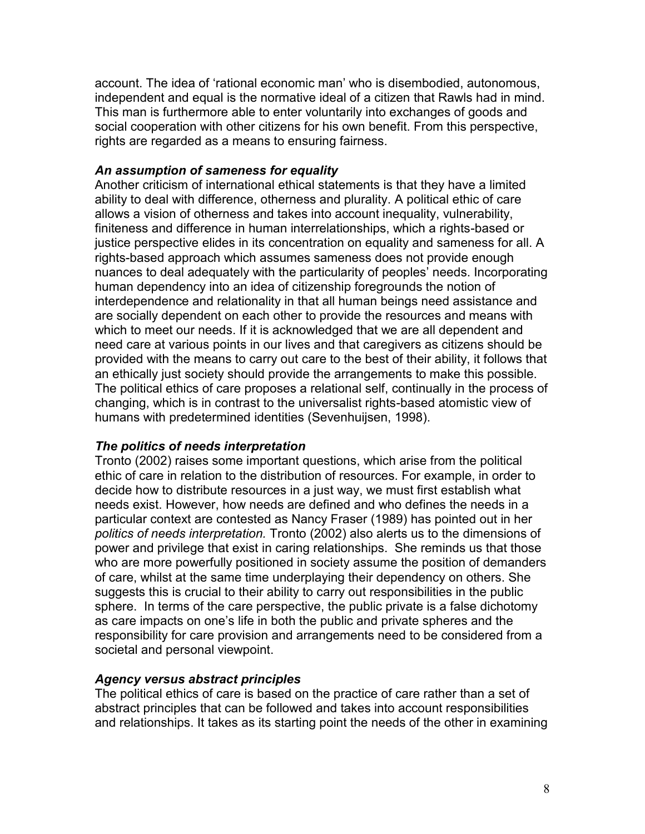account. The idea of 'rational economic man' who is disembodied, autonomous, independent and equal is the normative ideal of a citizen that Rawls had in mind. This man is furthermore able to enter voluntarily into exchanges of goods and social cooperation with other citizens for his own benefit. From this perspective, rights are regarded as a means to ensuring fairness.

### *An assumption of sameness for equality*

Another criticism of international ethical statements is that they have a limited ability to deal with difference, otherness and plurality. A political ethic of care allows a vision of otherness and takes into account inequality, vulnerability, finiteness and difference in human interrelationships, which a rights-based or justice perspective elides in its concentration on equality and sameness for all. A rights-based approach which assumes sameness does not provide enough nuances to deal adequately with the particularity of peoples' needs. Incorporating human dependency into an idea of citizenship foregrounds the notion of interdependence and relationality in that all human beings need assistance and are socially dependent on each other to provide the resources and means with which to meet our needs. If it is acknowledged that we are all dependent and need care at various points in our lives and that caregivers as citizens should be provided with the means to carry out care to the best of their ability, it follows that an ethically just society should provide the arrangements to make this possible. The political ethics of care proposes a relational self, continually in the process of changing, which is in contrast to the universalist rights-based atomistic view of humans with predetermined identities (Sevenhuijsen, 1998).

### *The politics of needs interpretation*

Tronto (2002) raises some important questions, which arise from the political ethic of care in relation to the distribution of resources. For example, in order to decide how to distribute resources in a just way, we must first establish what needs exist. However, how needs are defined and who defines the needs in a particular context are contested as Nancy Fraser (1989) has pointed out in her *politics of needs interpretation.* Tronto (2002) also alerts us to the dimensions of power and privilege that exist in caring relationships. She reminds us that those who are more powerfully positioned in society assume the position of demanders of care, whilst at the same time underplaying their dependency on others. She suggests this is crucial to their ability to carry out responsibilities in the public sphere. In terms of the care perspective, the public private is a false dichotomy as care impacts on one's life in both the public and private spheres and the responsibility for care provision and arrangements need to be considered from a societal and personal viewpoint.

### *Agency versus abstract principles*

The political ethics of care is based on the practice of care rather than a set of abstract principles that can be followed and takes into account responsibilities and relationships. It takes as its starting point the needs of the other in examining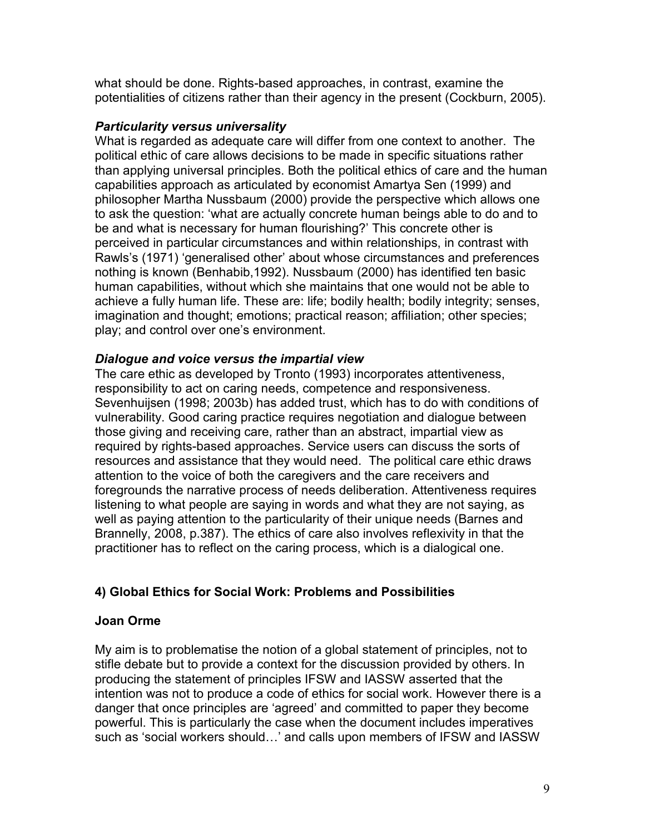what should be done. Rights-based approaches, in contrast, examine the potentialities of citizens rather than their agency in the present (Cockburn, 2005).

### *Particularity versus universality*

What is regarded as adequate care will differ from one context to another. The political ethic of care allows decisions to be made in specific situations rather than applying universal principles. Both the political ethics of care and the human capabilities approach as articulated by economist Amartya Sen (1999) and philosopher Martha Nussbaum (2000) provide the perspective which allows one to ask the question: 'what are actually concrete human beings able to do and to be and what is necessary for human flourishing?' This concrete other is perceived in particular circumstances and within relationships, in contrast with Rawls's (1971) 'generalised other' about whose circumstances and preferences nothing is known (Benhabib,1992). Nussbaum (2000) has identified ten basic human capabilities, without which she maintains that one would not be able to achieve a fully human life. These are: life; bodily health; bodily integrity; senses, imagination and thought; emotions; practical reason; affiliation; other species; play; and control over one's environment.

# *Dialogue and voice versus the impartial view*

The care ethic as developed by Tronto (1993) incorporates attentiveness, responsibility to act on caring needs, competence and responsiveness. Sevenhuijsen (1998; 2003b) has added trust, which has to do with conditions of vulnerability. Good caring practice requires negotiation and dialogue between those giving and receiving care, rather than an abstract, impartial view as required by rights-based approaches. Service users can discuss the sorts of resources and assistance that they would need. The political care ethic draws attention to the voice of both the caregivers and the care receivers and foregrounds the narrative process of needs deliberation. Attentiveness requires listening to what people are saying in words and what they are not saying, as well as paying attention to the particularity of their unique needs (Barnes and Brannelly, 2008, p.387). The ethics of care also involves reflexivity in that the practitioner has to reflect on the caring process, which is a dialogical one.

# **4) Global Ethics for Social Work: Problems and Possibilities**

# **Joan Orme**

My aim is to problematise the notion of a global statement of principles, not to stifle debate but to provide a context for the discussion provided by others. In producing the statement of principles IFSW and IASSW asserted that the intention was not to produce a code of ethics for social work. However there is a danger that once principles are 'agreed' and committed to paper they become powerful. This is particularly the case when the document includes imperatives such as 'social workers should…' and calls upon members of IFSW and IASSW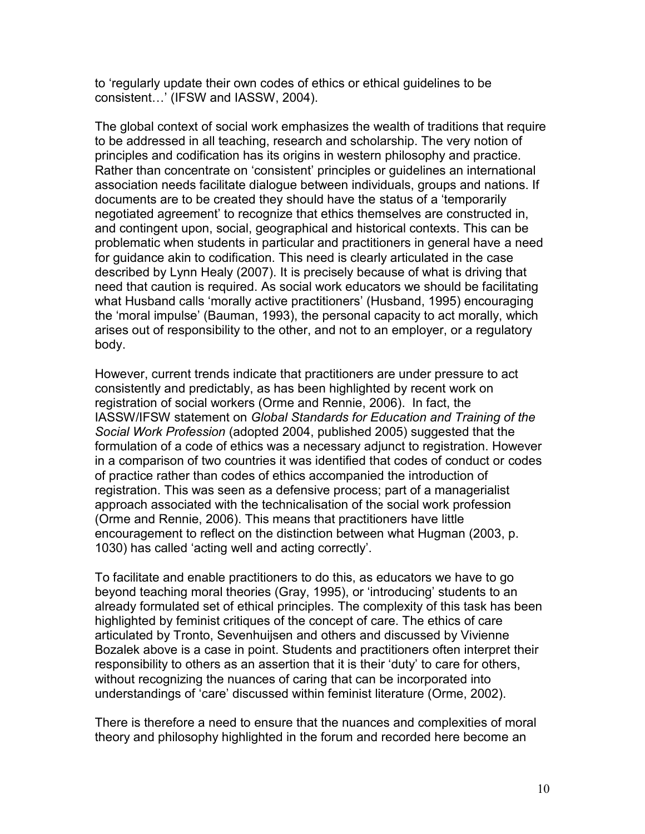to 'regularly update their own codes of ethics or ethical guidelines to be consistent…' (IFSW and IASSW, 2004).

The global context of social work emphasizes the wealth of traditions that require to be addressed in all teaching, research and scholarship. The very notion of principles and codification has its origins in western philosophy and practice. Rather than concentrate on 'consistent' principles or guidelines an international association needs facilitate dialogue between individuals, groups and nations. If documents are to be created they should have the status of a 'temporarily negotiated agreement' to recognize that ethics themselves are constructed in, and contingent upon, social, geographical and historical contexts. This can be problematic when students in particular and practitioners in general have a need for guidance akin to codification. This need is clearly articulated in the case described by Lynn Healy (2007). It is precisely because of what is driving that need that caution is required. As social work educators we should be facilitating what Husband calls 'morally active practitioners' (Husband, 1995) encouraging the 'moral impulse' (Bauman, 1993), the personal capacity to act morally, which arises out of responsibility to the other, and not to an employer, or a regulatory body.

However, current trends indicate that practitioners are under pressure to act consistently and predictably, as has been highlighted by recent work on registration of social workers (Orme and Rennie, 2006). In fact, the IASSW/IFSW statement on *Global Standards for Education and Training of the Social Work Profession* (adopted 2004, published 2005) suggested that the formulation of a code of ethics was a necessary adjunct to registration. However in a comparison of two countries it was identified that codes of conduct or codes of practice rather than codes of ethics accompanied the introduction of registration. This was seen as a defensive process; part of a managerialist approach associated with the technicalisation of the social work profession (Orme and Rennie, 2006). This means that practitioners have little encouragement to reflect on the distinction between what Hugman (2003, p. 1030) has called 'acting well and acting correctly'.

To facilitate and enable practitioners to do this, as educators we have to go beyond teaching moral theories (Gray, 1995), or 'introducing' students to an already formulated set of ethical principles. The complexity of this task has been highlighted by feminist critiques of the concept of care. The ethics of care articulated by Tronto, Sevenhuijsen and others and discussed by Vivienne Bozalek above is a case in point. Students and practitioners often interpret their responsibility to others as an assertion that it is their 'duty' to care for others, without recognizing the nuances of caring that can be incorporated into understandings of 'care' discussed within feminist literature (Orme, 2002).

There is therefore a need to ensure that the nuances and complexities of moral theory and philosophy highlighted in the forum and recorded here become an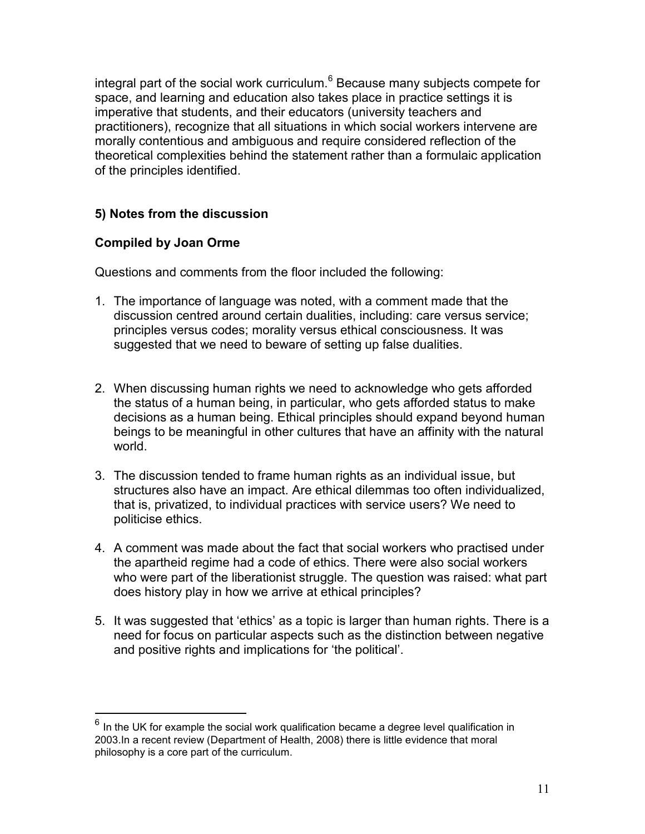integral part of the social work curriculum.<sup>6</sup> Because many subjects compete for space, and learning and education also takes place in practice settings it is imperative that students, and their educators (university teachers and practitioners), recognize that all situations in which social workers intervene are morally contentious and ambiguous and require considered reflection of the theoretical complexities behind the statement rather than a formulaic application of the principles identified.

# **5) Notes from the discussion**

# **Compiled by Joan Orme**

Questions and comments from the floor included the following:

- 1. The importance of language was noted, with a comment made that the discussion centred around certain dualities, including: care versus service; principles versus codes; morality versus ethical consciousness. It was suggested that we need to beware of setting up false dualities.
- 2. When discussing human rights we need to acknowledge who gets afforded the status of a human being, in particular, who gets afforded status to make decisions as a human being. Ethical principles should expand beyond human beings to be meaningful in other cultures that have an affinity with the natural world.
- 3. The discussion tended to frame human rights as an individual issue, but structures also have an impact. Are ethical dilemmas too often individualized, that is, privatized, to individual practices with service users? We need to politicise ethics.
- 4. A comment was made about the fact that social workers who practised under the apartheid regime had a code of ethics. There were also social workers who were part of the liberationist struggle. The question was raised: what part does history play in how we arrive at ethical principles?
- 5. It was suggested that 'ethics' as a topic is larger than human rights. There is a need for focus on particular aspects such as the distinction between negative and positive rights and implications for 'the political'.

 6 In the UK for example the social work qualification became a degree level qualification in 2003.In a recent review (Department of Health, 2008) there is little evidence that moral philosophy is a core part of the curriculum.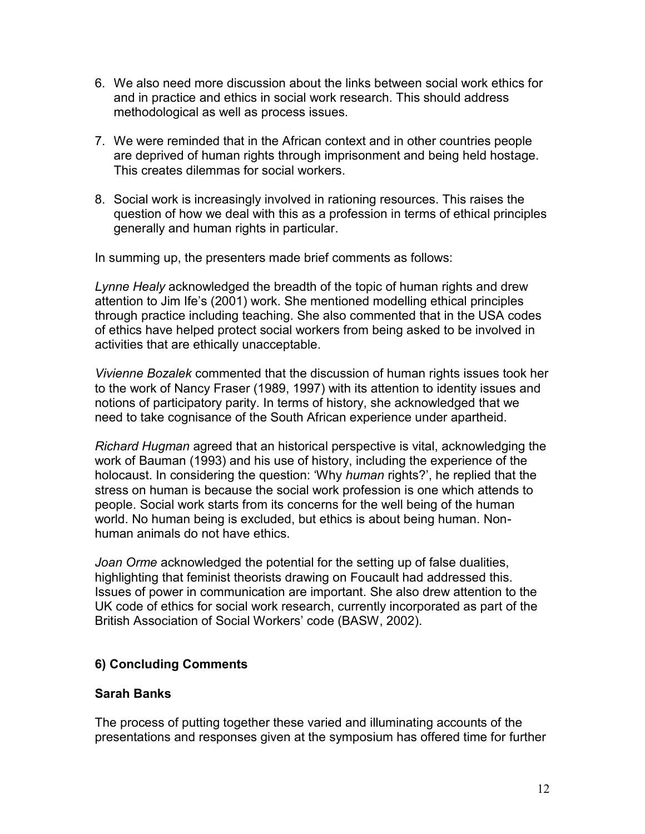- 6. We also need more discussion about the links between social work ethics for and in practice and ethics in social work research. This should address methodological as well as process issues.
- 7. We were reminded that in the African context and in other countries people are deprived of human rights through imprisonment and being held hostage. This creates dilemmas for social workers.
- 8. Social work is increasingly involved in rationing resources. This raises the question of how we deal with this as a profession in terms of ethical principles generally and human rights in particular.

In summing up, the presenters made brief comments as follows:

*Lynne Healy* acknowledged the breadth of the topic of human rights and drew attention to Jim Ife's (2001) work. She mentioned modelling ethical principles through practice including teaching. She also commented that in the USA codes of ethics have helped protect social workers from being asked to be involved in activities that are ethically unacceptable.

*Vivienne Bozalek* commented that the discussion of human rights issues took her to the work of Nancy Fraser (1989, 1997) with its attention to identity issues and notions of participatory parity. In terms of history, she acknowledged that we need to take cognisance of the South African experience under apartheid.

*Richard Hugman* agreed that an historical perspective is vital, acknowledging the work of Bauman (1993) and his use of history, including the experience of the holocaust. In considering the question: 'Why *human* rights?', he replied that the stress on human is because the social work profession is one which attends to people. Social work starts from its concerns for the well being of the human world. No human being is excluded, but ethics is about being human. Nonhuman animals do not have ethics.

*Joan Orme* acknowledged the potential for the setting up of false dualities, highlighting that feminist theorists drawing on Foucault had addressed this. Issues of power in communication are important. She also drew attention to the UK code of ethics for social work research, currently incorporated as part of the British Association of Social Workers' code (BASW, 2002).

# **6) Concluding Comments**

# **Sarah Banks**

The process of putting together these varied and illuminating accounts of the presentations and responses given at the symposium has offered time for further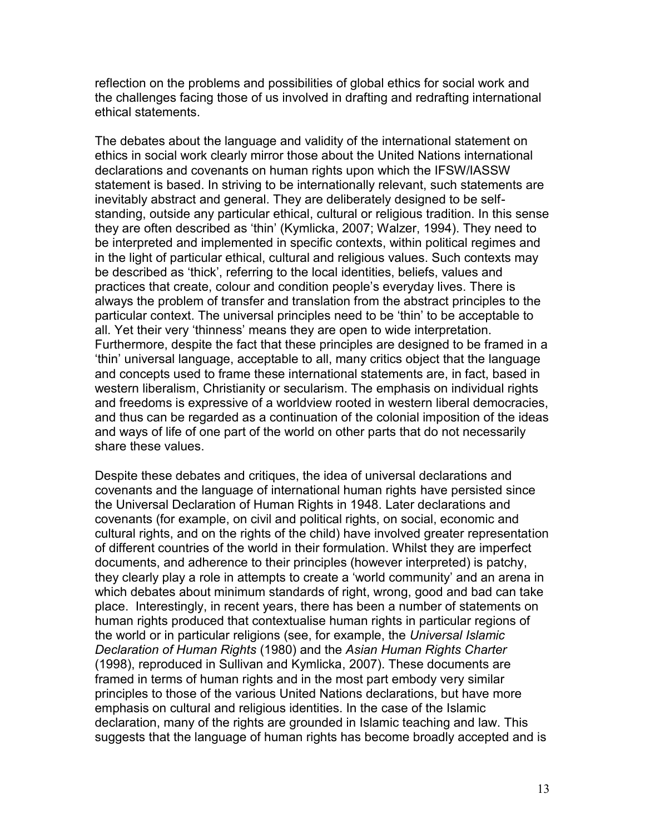reflection on the problems and possibilities of global ethics for social work and the challenges facing those of us involved in drafting and redrafting international ethical statements.

The debates about the language and validity of the international statement on ethics in social work clearly mirror those about the United Nations international declarations and covenants on human rights upon which the IFSW/IASSW statement is based. In striving to be internationally relevant, such statements are inevitably abstract and general. They are deliberately designed to be selfstanding, outside any particular ethical, cultural or religious tradition. In this sense they are often described as 'thin' (Kymlicka, 2007; Walzer, 1994). They need to be interpreted and implemented in specific contexts, within political regimes and in the light of particular ethical, cultural and religious values. Such contexts may be described as 'thick', referring to the local identities, beliefs, values and practices that create, colour and condition people's everyday lives. There is always the problem of transfer and translation from the abstract principles to the particular context. The universal principles need to be 'thin' to be acceptable to all. Yet their very 'thinness' means they are open to wide interpretation. Furthermore, despite the fact that these principles are designed to be framed in a 'thin' universal language, acceptable to all, many critics object that the language and concepts used to frame these international statements are, in fact, based in western liberalism, Christianity or secularism. The emphasis on individual rights and freedoms is expressive of a worldview rooted in western liberal democracies, and thus can be regarded as a continuation of the colonial imposition of the ideas and ways of life of one part of the world on other parts that do not necessarily share these values.

Despite these debates and critiques, the idea of universal declarations and covenants and the language of international human rights have persisted since the Universal Declaration of Human Rights in 1948. Later declarations and covenants (for example, on civil and political rights, on social, economic and cultural rights, and on the rights of the child) have involved greater representation of different countries of the world in their formulation. Whilst they are imperfect documents, and adherence to their principles (however interpreted) is patchy, they clearly play a role in attempts to create a 'world community' and an arena in which debates about minimum standards of right, wrong, good and bad can take place. Interestingly, in recent years, there has been a number of statements on human rights produced that contextualise human rights in particular regions of the world or in particular religions (see, for example, the *Universal Islamic Declaration of Human Rights* (1980) and the *Asian Human Rights Charter* (1998), reproduced in Sullivan and Kymlicka, 2007). These documents are framed in terms of human rights and in the most part embody very similar principles to those of the various United Nations declarations, but have more emphasis on cultural and religious identities. In the case of the Islamic declaration, many of the rights are grounded in Islamic teaching and law. This suggests that the language of human rights has become broadly accepted and is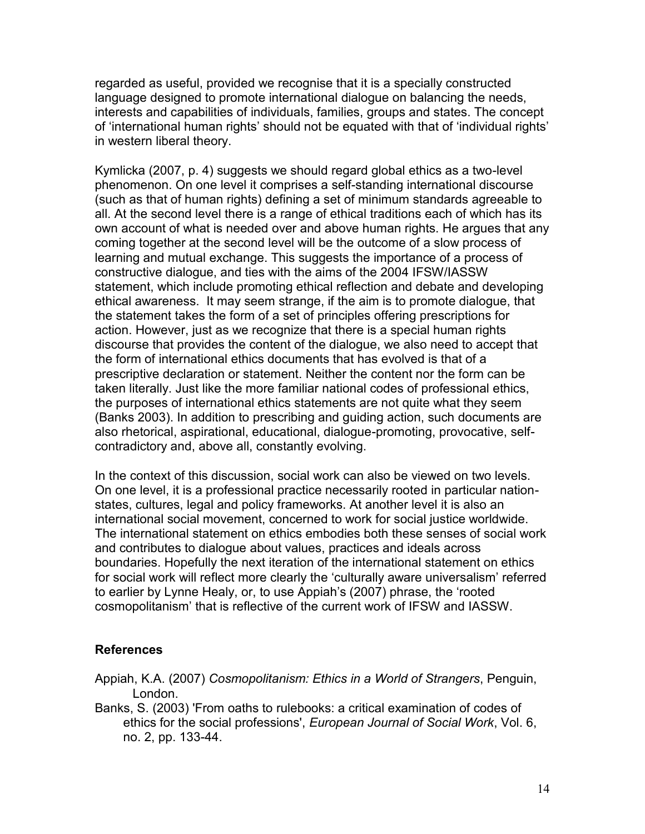regarded as useful, provided we recognise that it is a specially constructed language designed to promote international dialogue on balancing the needs, interests and capabilities of individuals, families, groups and states. The concept of 'international human rights' should not be equated with that of 'individual rights' in western liberal theory.

Kymlicka (2007, p. 4) suggests we should regard global ethics as a two-level phenomenon. On one level it comprises a self-standing international discourse (such as that of human rights) defining a set of minimum standards agreeable to all. At the second level there is a range of ethical traditions each of which has its own account of what is needed over and above human rights. He argues that any coming together at the second level will be the outcome of a slow process of learning and mutual exchange. This suggests the importance of a process of constructive dialogue, and ties with the aims of the 2004 IFSW/IASSW statement, which include promoting ethical reflection and debate and developing ethical awareness. It may seem strange, if the aim is to promote dialogue, that the statement takes the form of a set of principles offering prescriptions for action. However, just as we recognize that there is a special human rights discourse that provides the content of the dialogue, we also need to accept that the form of international ethics documents that has evolved is that of a prescriptive declaration or statement. Neither the content nor the form can be taken literally. Just like the more familiar national codes of professional ethics, the purposes of international ethics statements are not quite what they seem (Banks 2003). In addition to prescribing and guiding action, such documents are also rhetorical, aspirational, educational, dialogue-promoting, provocative, selfcontradictory and, above all, constantly evolving.

In the context of this discussion, social work can also be viewed on two levels. On one level, it is a professional practice necessarily rooted in particular nationstates, cultures, legal and policy frameworks. At another level it is also an international social movement, concerned to work for social justice worldwide. The international statement on ethics embodies both these senses of social work and contributes to dialogue about values, practices and ideals across boundaries. Hopefully the next iteration of the international statement on ethics for social work will reflect more clearly the 'culturally aware universalism' referred to earlier by Lynne Healy, or, to use Appiah's (2007) phrase, the 'rooted cosmopolitanism' that is reflective of the current work of IFSW and IASSW.

#### **References**

- Appiah, K.A. (2007) *Cosmopolitanism: Ethics in a World of Strangers*, Penguin, London.
- Banks, S. (2003) 'From oaths to rulebooks: a critical examination of codes of ethics for the social professions', *European Journal of Social Work*, Vol. 6, no. 2, pp. 133-44.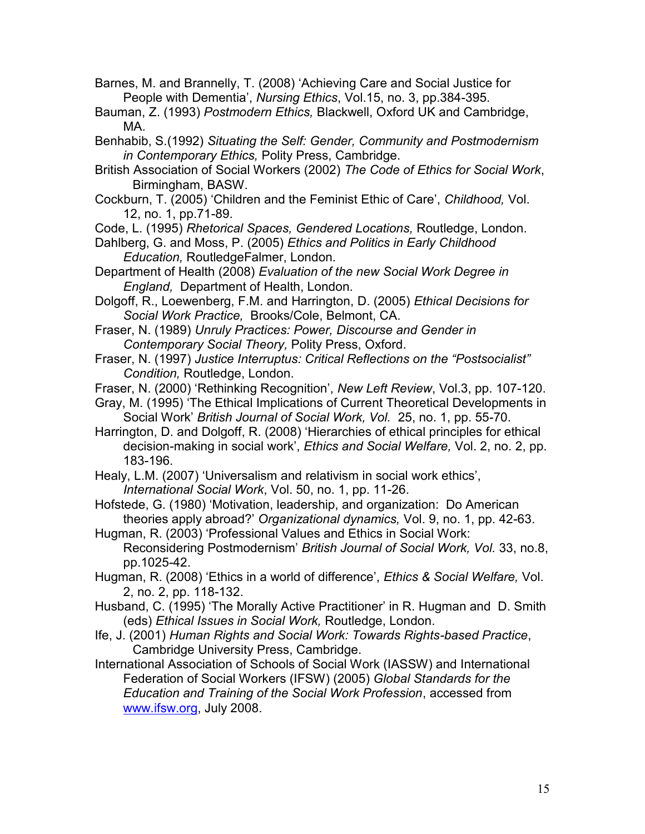Barnes, M. and Brannelly, T. (2008) 'Achieving Care and Social Justice for People with Dementia', *Nursing Ethics*, Vol.15, no. 3, pp.384-395.

Bauman, Z. (1993) *Postmodern Ethics,* Blackwell, Oxford UK and Cambridge, MA.

Benhabib, S.(1992) *Situating the Self: Gender, Community and Postmodernism in Contemporary Ethics,* Polity Press, Cambridge.

- British Association of Social Workers (2002) *The Code of Ethics for Social Work*, Birmingham, BASW.
- Cockburn, T. (2005) 'Children and the Feminist Ethic of Care', *Childhood,* Vol. 12, no. 1, pp.71-89.

Code, L. (1995) *Rhetorical Spaces, Gendered Locations,* Routledge, London.

- Dahlberg, G. and Moss, P. (2005) *Ethics and Politics in Early Childhood Education,* RoutledgeFalmer, London.
- Department of Health (2008) *Evaluation of the new Social Work Degree in England,* Department of Health, London.

Dolgoff, R., Loewenberg, F.M. and Harrington, D. (2005) *Ethical Decisions for Social Work Practice,* Brooks/Cole, Belmont, CA.

Fraser, N. (1989) *Unruly Practices: Power, Discourse and Gender in Contemporary Social Theory,* Polity Press, Oxford.

Fraser, N. (1997) *Justice Interruptus: Critical Reflections on the "Postsocialist" Condition,* Routledge, London.

Fraser, N. (2000) 'Rethinking Recognition', *New Left Review*, Vol.3, pp. 107-120.

Gray, M. (1995) 'The Ethical Implications of Current Theoretical Developments in Social Work' *British Journal of Social Work, Vol.* 25, no. 1, pp. 55-70.

Harrington, D. and Dolgoff, R. (2008) 'Hierarchies of ethical principles for ethical decision-making in social work', *Ethics and Social Welfare,* Vol. 2, no. 2, pp. 183-196.

Healy, L.M. (2007) 'Universalism and relativism in social work ethics', *International Social Work*, Vol. 50, no. 1, pp. 11-26.

Hofstede, G. (1980) 'Motivation, leadership, and organization: Do American theories apply abroad?' *Organizational dynamics,* Vol. 9, no. 1, pp. 42-63.

Hugman, R. (2003) 'Professional Values and Ethics in Social Work: Reconsidering Postmodernism' *British Journal of Social Work, Vol.* 33, no.8, pp.1025-42.

Hugman, R. (2008) 'Ethics in a world of difference', *Ethics & Social Welfare,* Vol. 2, no. 2, pp. 118-132.

Husband, C. (1995) 'The Morally Active Practitioner' in R. Hugman and D. Smith (eds) *Ethical Issues in Social Work,* Routledge, London.

Ife, J. (2001) *Human Rights and Social Work: Towards Rights-based Practice*, Cambridge University Press, Cambridge.

International Association of Schools of Social Work (IASSW) and International Federation of Social Workers (IFSW) (2005) *Global Standards for the Education and Training of the Social Work Profession*, accessed from [www.ifsw.org,](http://www.ifsw.org/) July 2008.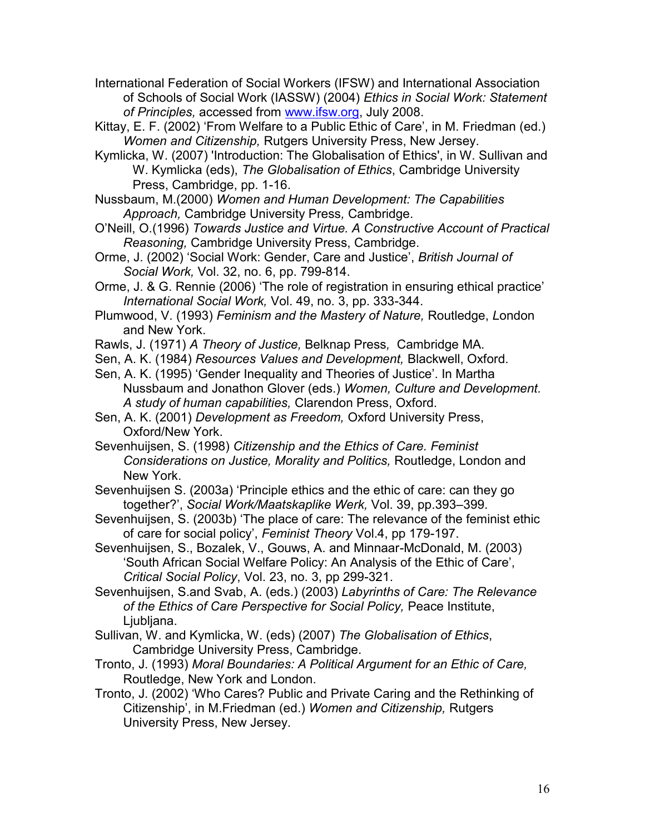International Federation of Social Workers (IFSW) and International Association of Schools of Social Work (IASSW) (2004) *Ethics in Social Work: Statement of Principles,* accessed from [www.ifsw.org,](http://www.ifsw.org/) July 2008.

Kittay, E. F. (2002) 'From Welfare to a Public Ethic of Care', in M. Friedman (ed.) *Women and Citizenship,* Rutgers University Press, New Jersey.

- Kymlicka, W. (2007) 'Introduction: The Globalisation of Ethics', in W. Sullivan and W. Kymlicka (eds), *The Globalisation of Ethics*, Cambridge University Press, Cambridge, pp. 1-16.
- Nussbaum, M.(2000) *Women and Human Development: The Capabilities Approach,* Cambridge University Press*,* Cambridge.
- O'Neill, O.(1996) *Towards Justice and Virtue. A Constructive Account of Practical Reasoning,* Cambridge University Press, Cambridge.
- Orme, J. (2002) 'Social Work: Gender, Care and Justice', *British Journal of Social Work,* Vol. 32, no. 6, pp. 799-814.
- Orme, J. & G. Rennie (2006) 'The role of registration in ensuring ethical practice' *International Social Work,* Vol. 49, no. 3, pp. 333-344.
- Plumwood, V. (1993) *Feminism and the Mastery of Nature,* Routledge, *L*ondon and New York.
- Rawls, J. (1971) *A Theory of Justice,* Belknap Press*,* Cambridge MA.
- Sen, A. K. (1984) *Resources Values and Development,* Blackwell, Oxford.
- Sen, A. K. (1995) 'Gender Inequality and Theories of Justice'. In Martha Nussbaum and Jonathon Glover (eds.) *Women, Culture and Development. A study of human capabilities,* Clarendon Press, Oxford.
- Sen, A. K. (2001) *Development as Freedom,* Oxford University Press, Oxford/New York.
- Sevenhuijsen, S. (1998) *Citizenship and the Ethics of Care. Feminist Considerations on Justice, Morality and Politics,* Routledge, London and New York.
- Sevenhuijsen S. (2003a) 'Principle ethics and the ethic of care: can they go together?', *Social Work/Maatskaplike Werk,* Vol. 39, pp.393–399.
- Sevenhuijsen, S. (2003b) 'The place of care: The relevance of the feminist ethic of care for social policy', *Feminist Theory* Vol.4, pp 179-197.
- Sevenhuijsen, S., Bozalek, V., Gouws, A. and Minnaar-McDonald, M. (2003) 'South African Social Welfare Policy: An Analysis of the Ethic of Care', *Critical Social Policy*, Vol. 23, no. 3, pp 299-321.
- Sevenhuijsen, S.and Svab, A. (eds.) (2003) *Labyrinths of Care: The Relevance of the Ethics of Care Perspective for Social Policy,* Peace Institute, Ljubljana.
- Sullivan, W. and Kymlicka, W. (eds) (2007) *The Globalisation of Ethics*, Cambridge University Press, Cambridge.
- Tronto, J. (1993) *Moral Boundaries: A Political Argument for an Ethic of Care,* Routledge, New York and London.
- Tronto, J. (2002) 'Who Cares? Public and Private Caring and the Rethinking of Citizenship', in M.Friedman (ed.) *Women and Citizenship,* Rutgers University Press, New Jersey.